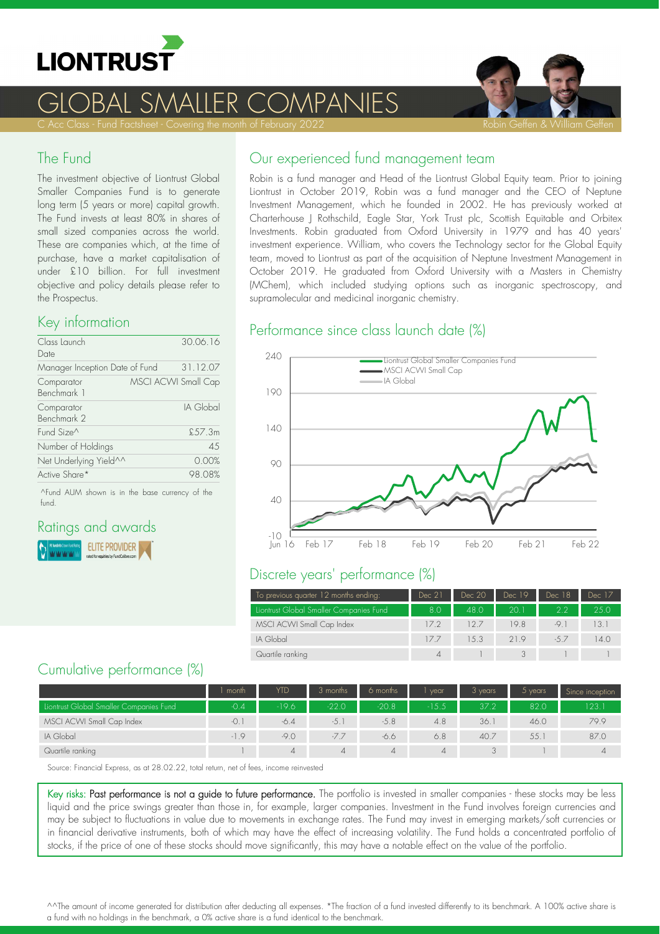

# SMALLER COMPANIES



#### The Fund

The investment objective of Liontrust Global Smaller Companies Fund is to generate long term (5 years or more) capital growth. The Fund invests at least 80% in shares of small sized companies across the world. These are companies which, at the time of purchase, have a market capitalisation of under £10 billion. For full investment objective and policy details please refer to the Prospectus.

#### Key information

| Class Launch<br>Date           | 30.06.16            |
|--------------------------------|---------------------|
| Manager Inception Date of Fund | 31.12.07            |
| Comparator<br>Benchmark 1      | MSCI ACWI Small Cap |
| Comparator<br>Benchmark 2      | IA Global           |
| Fund Size <sup>^</sup>         | \$57.3m             |
| Number of Holdings             | 4.5                 |
| Net Underlying Yield^^         | 0.00%               |
| Active Share*                  | 98.08%              |

^Fund AUM shown is in the base currency of the fund.

# Ratings and awards

**ELITE PROVIDER** ļ,

#### Our experienced fund management team

Robin is a fund manager and Head of the Liontrust Global Equity team. Prior to joining Liontrust in October 2019, Robin was a fund manager and the CEO of Neptune Investment Management, which he founded in 2002. He has previously worked at Charterhouse J Rothschild, Eagle Star, York Trust plc, Scottish Equitable and Orbitex Investments. Robin graduated from Oxford University in 1979 and has 40 years' investment experience. William, who covers the Technology sector for the Global Equity team, moved to Liontrust as part of the acquisition of Neptune Investment Management in October 2019. He graduated from Oxford University with a Masters in Chemistry (MChem), which included studying options such as inorganic spectroscopy, and supramolecular and medicinal inorganic chemistry.

#### Performance since class launch date (%)



#### Discrete years' performance (%)

| To previous quarter 12 months ending:   | Dec 21 | Dec 20 | Dec 19 | Dec 18 | Dec 17 |
|-----------------------------------------|--------|--------|--------|--------|--------|
| Liontrust Global Smaller Companies Fund | 8.0    | 48.0   | 20. I  | 22     | 250    |
| MSCI ACWI Small Cap Index               | 17.2   | 127    | 19.8   | -9.1   | 13.1   |
| IA Global                               | 177    | 1.5.3  | 219    | $-5.7$ | 14.0   |
| Quartile ranking                        | 4      |        |        |        |        |

#### Cumulative performance (%)

|                                         | month  | YTD     | 3 months | 6 months | vear    | 3 years | $5$ years | Since inception |
|-----------------------------------------|--------|---------|----------|----------|---------|---------|-----------|-----------------|
| Liontrust Global Smaller Companies Fund | $-0.4$ | $-19.6$ | $-22.0$  | $-20.8$  | $-15.5$ | 37.2    | 82.0      | 123.1           |
| MSCI ACWI Small Cap Index               | -0.    | $-6.4$  | $-5.1$   | $-5.8$   | 4.8     | 36.1    | 46.0      | 79.9            |
| IA Global                               | $-1.9$ | $-9.0$  | $-7.7$   | -6.6     | 6.8     | 40.7    | 55.       | 87.0            |
| Quartile ranking                        |        | 4       |          | 4        | 4       |         |           |                 |

Source: Financial Express, as at 28.02.22, total return, net of fees, income reinvested

Key risks: Past performance is not a guide to future performance. The portfolio is invested in smaller companies - these stocks may be less liquid and the price swings greater than those in, for example, larger companies. Investment in the Fund involves foreign currencies and may be subject to fluctuations in value due to movements in exchange rates. The Fund may invest in emerging markets/soft currencies or in financial derivative instruments, both of which may have the effect of increasing volatility. The Fund holds a concentrated portfolio of stocks, if the price of one of these stocks should move significantly, this may have a notable effect on the value of the portfolio.

^^The amount of income generated for distribution after deducting all expenses. \*The fraction of a fund invested differently to its benchmark. A 100% active share is a fund with no holdings in the benchmark, a 0% active share is a fund identical to the benchmark.